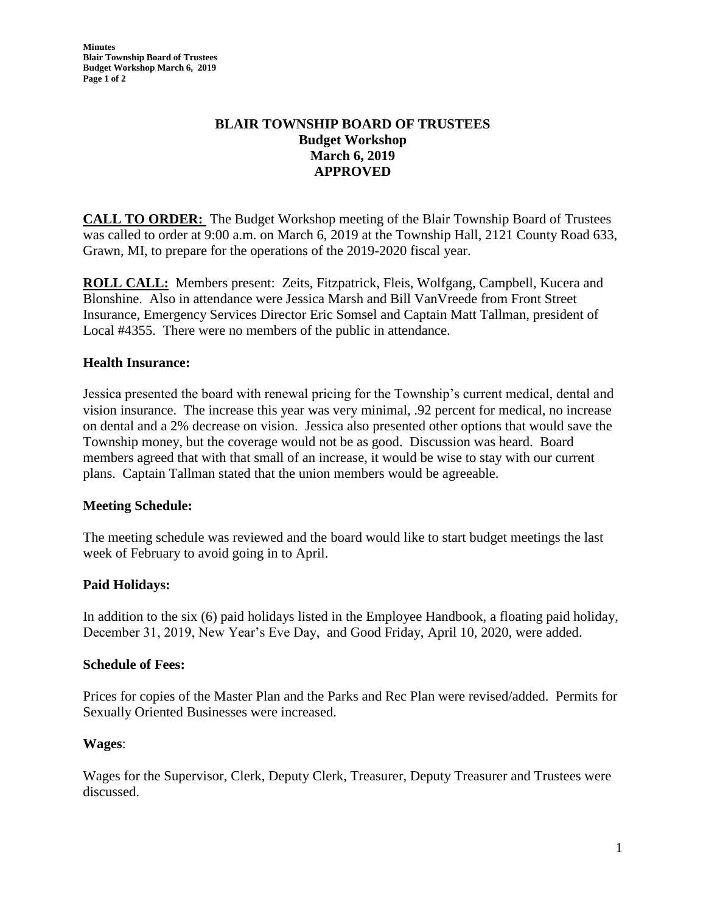**Minutes Blair Township Board of Trustees Budget Workshop March 6, 2019 Page 1 of 2**

# **BLAIR TOWNSHIP BOARD OF TRUSTEES Budget Workshop March 6, 2019 APPROVED**

**CALL TO ORDER:** The Budget Workshop meeting of the Blair Township Board of Trustees was called to order at 9:00 a.m. on March 6, 2019 at the Township Hall, 2121 County Road 633, Grawn, MI, to prepare for the operations of the 2019-2020 fiscal year.

**ROLL CALL:** Members present: Zeits, Fitzpatrick, Fleis, Wolfgang, Campbell, Kucera and Blonshine. Also in attendance were Jessica Marsh and Bill VanVreede from Front Street Insurance, Emergency Services Director Eric Somsel and Captain Matt Tallman, president of Local #4355. There were no members of the public in attendance.

## **Health Insurance:**

Jessica presented the board with renewal pricing for the Township's current medical, dental and vision insurance. The increase this year was very minimal, .92 percent for medical, no increase on dental and a 2% decrease on vision. Jessica also presented other options that would save the Township money, but the coverage would not be as good. Discussion was heard. Board members agreed that with that small of an increase, it would be wise to stay with our current plans. Captain Tallman stated that the union members would be agreeable.

## **Meeting Schedule:**

The meeting schedule was reviewed and the board would like to start budget meetings the last week of February to avoid going in to April.

## **Paid Holidays:**

In addition to the six (6) paid holidays listed in the Employee Handbook, a floating paid holiday, December 31, 2019, New Year's Eve Day, and Good Friday, April 10, 2020, were added.

## **Schedule of Fees:**

Prices for copies of the Master Plan and the Parks and Rec Plan were revised/added. Permits for Sexually Oriented Businesses were increased.

## **Wages**:

Wages for the Supervisor, Clerk, Deputy Clerk, Treasurer, Deputy Treasurer and Trustees were discussed.